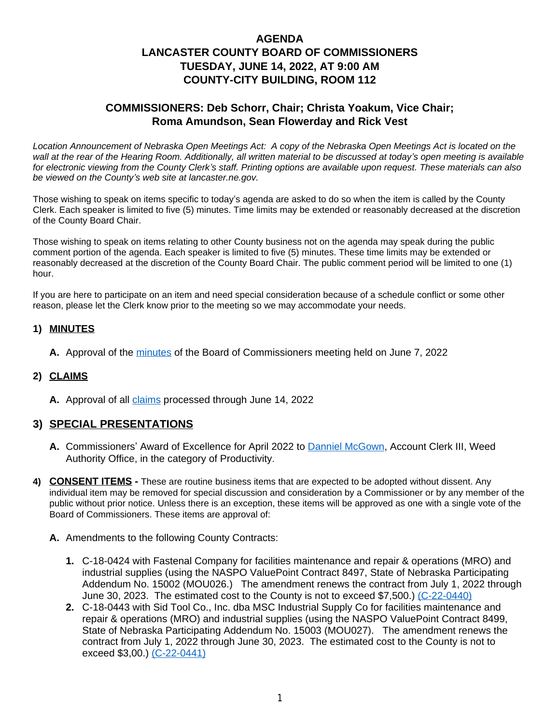# **AGENDA LANCASTER COUNTY BOARD OF COMMISSIONERS TUESDAY, JUNE 14, 2022, AT 9:00 AM COUNTY-CITY BUILDING, ROOM 112**

# **COMMISSIONERS: Deb Schorr, Chair; Christa Yoakum, Vice Chair; Roma Amundson, Sean Flowerday and Rick Vest**

*Location Announcement of Nebraska Open Meetings Act: A copy of the Nebraska Open Meetings Act is located on the wall at the rear of the Hearing Room. Additionally, all written material to be discussed at today's open meeting is available for electronic viewing from the County Clerk's staff. Printing options are available upon request. These materials can also be viewed on the County's web site at lancaster.ne.gov.*

Those wishing to speak on items specific to today's agenda are asked to do so when the item is called by the County Clerk. Each speaker is limited to five (5) minutes. Time limits may be extended or reasonably decreased at the discretion of the County Board Chair.

Those wishing to speak on items relating to other County business not on the agenda may speak during the public comment portion of the agenda. Each speaker is limited to five (5) minutes. These time limits may be extended or reasonably decreased at the discretion of the County Board Chair. The public comment period will be limited to one (1) hour.

If you are here to participate on an item and need special consideration because of a schedule conflict or some other reason, please let the Clerk know prior to the meeting so we may accommodate your needs.

## **1) MINUTES**

**A.** Approval of the [minutes](https://www.lancaster.ne.gov/DocumentCenter/View/14161/mi220607-PDF-) of the Board of Commissioners meeting held on June 7, 2022

#### **2) CLAIMS**

**A.** Approval of all [claims](https://www.lancaster.ne.gov/DocumentCenter/View/14184/Claims-06-13-2022-Vendor-Report-PDF-) processed through June 14, 2022

## **3) SPECIAL PRESENTATIONS**

- A. Commissioners' Award of Excellence for April 2022 to **Danniel McGown**, Account Clerk III, Weed [Authority Office, in the category of Productivity](https://www.lancaster.ne.gov/DocumentCenter/View/14160/Danniel-McGown-PDF-)[.](https://www.lancaster.ne.gov/DocumentCenter/View/14160/Danniel-McGown-PDF-)
- **4) [CONSENT ITEMS -](https://www.lancaster.ne.gov/DocumentCenter/View/14160/Danniel-McGown-PDF-)** [These are routine business items that are expected to be adopted without dissent. Any](https://www.lancaster.ne.gov/DocumentCenter/View/14160/Danniel-McGown-PDF-)  [individual item may be removed for special discussion and consideration by a Commissioner or by any member of the](https://www.lancaster.ne.gov/DocumentCenter/View/14160/Danniel-McGown-PDF-) [public without prior notice. Unless there is an exception, these items will be approved as one with a single vote of the](https://www.lancaster.ne.gov/DocumentCenter/View/14160/Danniel-McGown-PDF-)  [Board of Commissioners. These items are approval of:](https://www.lancaster.ne.gov/DocumentCenter/View/14160/Danniel-McGown-PDF-)
	- **A.** [Amendments to the following County](https://www.lancaster.ne.gov/DocumentCenter/View/14160/Danniel-McGown-PDF-) [Contracts:](https://www.lancaster.ne.gov/DocumentCenter/View/14160/Danniel-McGown-PDF-) 
		- **1.** [C-18-0424 with Fastenal Company for facilities maintenance and repair & operations \(MRO\) and](https://www.lancaster.ne.gov/DocumentCenter/View/14160/Danniel-McGown-PDF-)  [industrial supplies \(using the NASPO ValuePoint Contract 8497, State of Nebraska Participating](https://www.lancaster.ne.gov/DocumentCenter/View/14160/Danniel-McGown-PDF-)  [Addendum No. 15002 \(MOU026.\) The amendment renews the contract from July 1, 2022 through](https://www.lancaster.ne.gov/DocumentCenter/View/14160/Danniel-McGown-PDF-)  [June 30, 2023. The estimated cost to the County is not to exceed \\$7,500.\)](https://www.lancaster.ne.gov/DocumentCenter/View/14160/Danniel-McGown-PDF-) [\(C-22-0440\)](https://www.lancaster.ne.gov/DocumentCenter/View/14178/C-22-0440-PDF-)
		- **2.** C-18-0443 with Sid Tool Co., Inc. dba MSC Industrial Supply Co for facilities maintenance and repair & operations (MRO) and industrial supplies (using the NASPO ValuePoint Contract 8499, State of Nebraska Participating Addendum No. 15003 (MOU027). The amendment renews the contract from July 1, 2022 through June 30, 2023. The estimated cost to the County is not to exceed \$3,00.) [\(C-22-0441\)](https://www.lancaster.ne.gov/DocumentCenter/View/14179/C-22-0441-PDF-)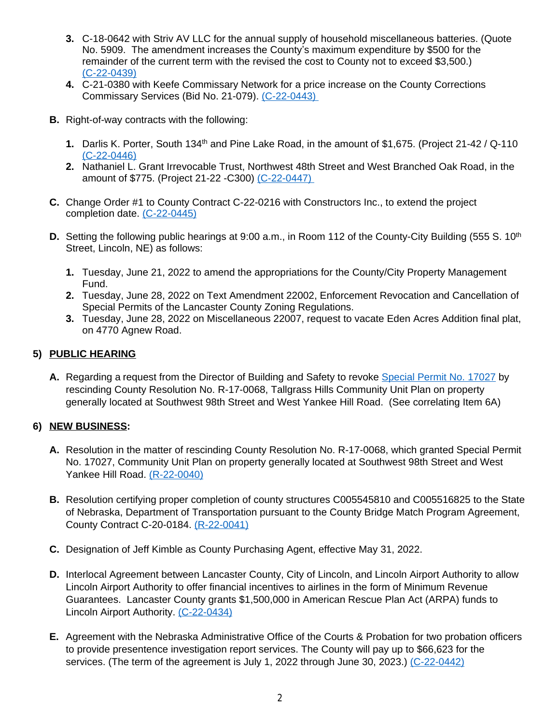- **3.** C-18-0642 with Striv AV LLC for the annual supply of household miscellaneous batteries. (Quote No. 5909. The amendment increases the County's maximum expenditure by \$500 for the remainder of the current term with the revised the cost to County not to exceed \$3,500.) [\(C-22-0439\)](https://www.lancaster.ne.gov/DocumentCenter/View/14177/C-22-0439-PDF-)
- **4.** C-21-0380 with Keefe Commissary Network for a price increase on the County Corrections Commissary Services (Bid No. 21-079). [\(C-22-0443\)](https://www.lancaster.ne.gov/DocumentCenter/View/14181/C-22-0443-PDF-)
- **B.** Right-of-way contracts with the following:
	- **1.** Darlis K. Porter, South 134th and Pine Lake Road, in the amount of \$1,675. (Project 21-42 / Q-110 [\(C-22-0446\)](https://www.lancaster.ne.gov/DocumentCenter/View/14158/C-22-0446-PDF-)
	- **2.** [Nathaniel L. Grant Irrevocable Trust,](https://www.lancaster.ne.gov/DocumentCenter/View/14158/C-22-0446-PDF-) [Northwest 48th Street and West Branched Oak Road,](https://www.lancaster.ne.gov/DocumentCenter/View/14158/C-22-0446-PDF-) [in the](https://www.lancaster.ne.gov/DocumentCenter/View/14158/C-22-0446-PDF-)  [amount of \\$775. \(Project 21-22 -C300\)](https://www.lancaster.ne.gov/DocumentCenter/View/14158/C-22-0446-PDF-) [\(C-22-0447\)](https://www.lancaster.ne.gov/DocumentCenter/View/14159/C-22-0447-PDF-)
- **C.** [Change Order](https://www.lancaster.ne.gov/DocumentCenter/View/14159/C-22-0447-PDF-) [#1 to County Contract C-22-0216 with Constructors Inc., to extend the project](https://www.lancaster.ne.gov/DocumentCenter/View/14159/C-22-0447-PDF-)  [completion date.](https://www.lancaster.ne.gov/DocumentCenter/View/14159/C-22-0447-PDF-) [\(C-22-0445\)](https://www.lancaster.ne.gov/DocumentCenter/View/14157/C-22-0445-PDF-)
- **D.** [Setting the following public hearings](https://www.lancaster.ne.gov/DocumentCenter/View/14157/C-22-0445-PDF-) [at 9:00 a.m.,](https://www.lancaster.ne.gov/DocumentCenter/View/14157/C-22-0445-PDF-) [in Room 112 of the County-City Building \(555 S. 10](https://www.lancaster.ne.gov/DocumentCenter/View/14157/C-22-0445-PDF-)<sup>[th](https://www.lancaster.ne.gov/DocumentCenter/View/14157/C-22-0445-PDF-)</sup>) [Street, Lincoln, NE\) as follows:](https://www.lancaster.ne.gov/DocumentCenter/View/14157/C-22-0445-PDF-)
	- **1.** [Tuesday, June 21, 2022 to amend the appropriations for the County/City Property Management](https://www.lancaster.ne.gov/DocumentCenter/View/14157/C-22-0445-PDF-)  [Fund.](https://www.lancaster.ne.gov/DocumentCenter/View/14157/C-22-0445-PDF-)
	- **2.** [Tuesday, June 28, 2022 on](https://www.lancaster.ne.gov/DocumentCenter/View/14157/C-22-0445-PDF-) [Text Amendment 22002, Enforcement Revocation and Cancellation of](https://www.lancaster.ne.gov/DocumentCenter/View/14157/C-22-0445-PDF-)  [Special Permits of the Lancaster County Zoning Regulations.](https://www.lancaster.ne.gov/DocumentCenter/View/14157/C-22-0445-PDF-)
	- **3.** [Tuesday, June 28, 2022 on Miscellaneous 22007, request to vacate Eden Acres Addition final plat,](https://www.lancaster.ne.gov/DocumentCenter/View/14157/C-22-0445-PDF-)  [on 4770 Agnew Road.](https://www.lancaster.ne.gov/DocumentCenter/View/14157/C-22-0445-PDF-)

### **5) [PUBLIC HEARING](https://www.lancaster.ne.gov/DocumentCenter/View/14157/C-22-0445-PDF-)**

**A.** [Regarding a](https://www.lancaster.ne.gov/DocumentCenter/View/14157/C-22-0445-PDF-) [request from the Director of Building and Safety to revoke](https://www.lancaster.ne.gov/DocumentCenter/View/14157/C-22-0445-PDF-) [Special Permit No. 17027](https://www.lancaster.ne.gov/DocumentCenter/View/14164/Special-Permit--17027-PDF-) by rescinding County Resolution No. R-17-0068, Tallgrass Hills Community Unit Plan on property generally located at Southwest 98th Street and West Yankee Hill Road. (See correlating Item 6A)

## **6) NEW BUSINESS:**

- **A.** Resolution in the matter of rescinding County Resolution No. R-17-0068, which granted Special Permit No. 17027, Community Unit Plan on property generally located at Southwest 98th Street and West Yankee Hill Road. [\(R-22-0040\)](https://www.lancaster.ne.gov/DocumentCenter/View/14162/R-22-0040-PDF-)
- **B.** [Resolution certifying proper completion of county structures C005545810 and C005516825 to the State](https://www.lancaster.ne.gov/DocumentCenter/View/14162/R-22-0040-PDF-) [of Nebraska, Department of Transportation pursuant to the County Bridge Match Program Agreement,](https://www.lancaster.ne.gov/DocumentCenter/View/14162/R-22-0040-PDF-)  [County Contract C-20-0184.](https://www.lancaster.ne.gov/DocumentCenter/View/14162/R-22-0040-PDF-) [\(R-22-0041\)](https://www.lancaster.ne.gov/DocumentCenter/View/14163/R-22-0041-PDF-)
- **C.** Designation of Jeff Kimble as County Purchasing Agent, effective May 31, 2022.
- **D.** Interlocal Agreement between Lancaster County, City of Lincoln, and Lincoln Airport Authority to allow Lincoln Airport Authority to offer financial incentives to airlines in the form of Minimum Revenue Guarantees. Lancaster County grants \$1,500,000 in American Rescue Plan Act (ARPA) funds to Lincoln Airport Authority. [\(C-22-0434\)](https://www.lancaster.ne.gov/DocumentCenter/View/14172/C-22-0434-PDF-)
- **E.** Agreement with the Nebraska Administrative Office of the Courts & Probation for two probation officers [to provide presentence investigation report services. The County will pay up to \\$66,623 for the](https://www.lancaster.ne.gov/DocumentCenter/View/14172/C-22-0434-PDF-)  [services. \(The term of the agreement is July 1, 2022 through June 30, 2023.\)](https://www.lancaster.ne.gov/DocumentCenter/View/14172/C-22-0434-PDF-) [\(C-22-0442\)](https://www.lancaster.ne.gov/DocumentCenter/View/14180/C-22-0442-PDF-)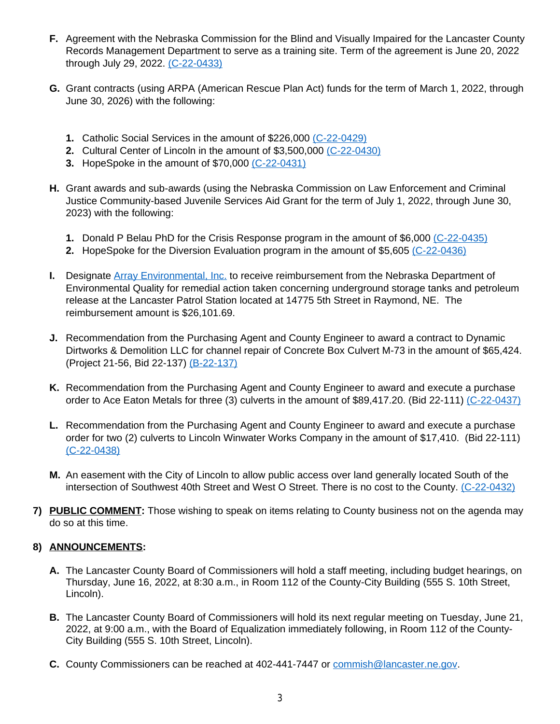- **F.** Agreement with the Nebraska Commission for the Blind and Visually Impaired for the Lancaster County Records Management Department to serve as a training site. Term of the agreement is June 20, 2022 through July 29, 2022. [\(C-22-0433\)](https://www.lancaster.ne.gov/DocumentCenter/View/14171/C-22-0433-PDF-)
- **G.** Grant contracts (using ARPA (American Rescue Plan Act) funds for the term of March 1, 2022, through June 30, 2026) with the following:
	- **1.** Catholic Social Services in the amount of \$226,000 [\(C-22-0429\)](https://www.lancaster.ne.gov/DocumentCenter/View/14167/C-22-0429-PDF-)
	- **2.** [Cultural Center of Lincoln in the amount of \\$3,500,000](https://www.lancaster.ne.gov/DocumentCenter/View/14167/C-22-0429-PDF-) [\(C-22-0430\)](https://www.lancaster.ne.gov/DocumentCenter/View/14168/C-22-0430-PDF-)
	- **3.** HopeSpoke in the amount of \$70,000 [\(C-22-0431\)](https://www.lancaster.ne.gov/DocumentCenter/View/14169/C-22-0431-PDF-)
- **H.** Grant awards and sub-awards (using the Nebraska Commission on Law Enforcement and Criminal Justice Community-based Juvenile Services Aid Grant for the term of July 1, 2022, through June 30, 2023) with the following:
	- **1.** Donald P Belau PhD for the Crisis Response program in the amount of \$6,000 [\(C-22-0435\)](https://www.lancaster.ne.gov/DocumentCenter/View/14173/C-22-0435-PDF-)
	- **2.** HopeSpoke for the Diversion Evaluation program in the amount of \$5,605 [\(C-22-0436\)](https://www.lancaster.ne.gov/DocumentCenter/View/14174/C-22-0436-PDF-)
- **I.** [Designate](https://www.lancaster.ne.gov/DocumentCenter/View/14174/C-22-0436-PDF-) **[Array Environmental, Inc.](https://www.lancaster.ne.gov/DocumentCenter/View/14185/Array-Environmental-Inc-PDF-)** to receive reimbursement from the Nebraska Department of Environmental Quality for remedial action taken concerning underground storage tanks and petroleum release at the Lancaster Patrol Station located at 14775 5th Street in Raymond, NE. The reimbursement amount is \$26,101.69.
- **J.** Recommendation from the Purchasing Agent and County Engineer to award a contract to Dynamic Dirtworks & Demolition LLC for channel repair of Concrete Box Culvert M-73 in the amount of \$65,424. (Project 21-56, Bid 22-137) [\(B-22-137\)](https://www.lancaster.ne.gov/DocumentCenter/View/14165/B-22-137-PDF-)
- **K.** [Recommendation from the Purchasing Agent and County Engineer to award and execute a purchase](https://www.lancaster.ne.gov/DocumentCenter/View/14165/B-22-137-PDF-)  [order to Ace Eaton Metals for three \(3\) culverts in the amount of \\$89,417.20.](https://www.lancaster.ne.gov/DocumentCenter/View/14165/B-22-137-PDF-) [\(Bid 22-111\)](https://www.lancaster.ne.gov/DocumentCenter/View/14165/B-22-137-PDF-) [\(C-22-0437\)](https://www.lancaster.ne.gov/DocumentCenter/View/14175/C-22-0437-PDF-)
- **L.** [Recommendation from the Purchasing Agent and County Engineer to award and execute a purchase](https://www.lancaster.ne.gov/DocumentCenter/View/14175/C-22-0437-PDF-)  [order for two \(2\) culverts to Lincoln Winwater Works Company in the amount of \\$17,410. \(Bid 22-111\)](https://www.lancaster.ne.gov/DocumentCenter/View/14175/C-22-0437-PDF-) [\(C-22-0438\)](https://www.lancaster.ne.gov/DocumentCenter/View/14176/C-22-0438-PDF-)
- **M.** An easement with the City of Lincoln to allow public access over land generally located South of the intersection of Southwest 40th Street and West O Street. There is no cost to the County. [\(C-22-0432\)](https://www.lancaster.ne.gov/DocumentCenter/View/14170/C-22-0432-PDF-)
- **7) [PUBLIC COMMENT:](https://www.lancaster.ne.gov/DocumentCenter/View/14170/C-22-0432-PDF-)** [Those wishing to speak on items relating to County business not on the agenda may](https://www.lancaster.ne.gov/DocumentCenter/View/14170/C-22-0432-PDF-)  [do so at this time.](https://www.lancaster.ne.gov/DocumentCenter/View/14170/C-22-0432-PDF-)

#### **8) [ANNOUNCEMENTS:](https://www.lancaster.ne.gov/DocumentCenter/View/14170/C-22-0432-PDF-)**

- **A.** [The Lancaster County Board of Commissioners will hold a staff meeting, including budget hearings, on](https://www.lancaster.ne.gov/DocumentCenter/View/14170/C-22-0432-PDF-)  [Thursday, June](https://www.lancaster.ne.gov/DocumentCenter/View/14170/C-22-0432-PDF-) [16, 2022, at 8:30 a.m., in Room 112 of the County-City Building \(555 S. 10th Street,](https://www.lancaster.ne.gov/DocumentCenter/View/14170/C-22-0432-PDF-)  [Lincoln\).](https://www.lancaster.ne.gov/DocumentCenter/View/14170/C-22-0432-PDF-)
- **B.** [The Lancaster County Board of Commissioners will hold its next regular meeting on Tuesday,](https://www.lancaster.ne.gov/DocumentCenter/View/14170/C-22-0432-PDF-) [June 21,](https://www.lancaster.ne.gov/DocumentCenter/View/14170/C-22-0432-PDF-)  [2022, at 9:00 a.m., with the Board of Equalization](https://www.lancaster.ne.gov/DocumentCenter/View/14170/C-22-0432-PDF-) [immediately following,](https://www.lancaster.ne.gov/DocumentCenter/View/14170/C-22-0432-PDF-) [in Room 112 of the County-](https://www.lancaster.ne.gov/DocumentCenter/View/14170/C-22-0432-PDF-)[City Building \(555 S. 10th Street, Lincoln\).](https://www.lancaster.ne.gov/DocumentCenter/View/14170/C-22-0432-PDF-)
- **C.** [County Commissioners can be reached at 402-441-7447 or](https://www.lancaster.ne.gov/DocumentCenter/View/14170/C-22-0432-PDF-) [commish@lancaster.ne.gov](mailto:commish@lancaster.ne.gov).